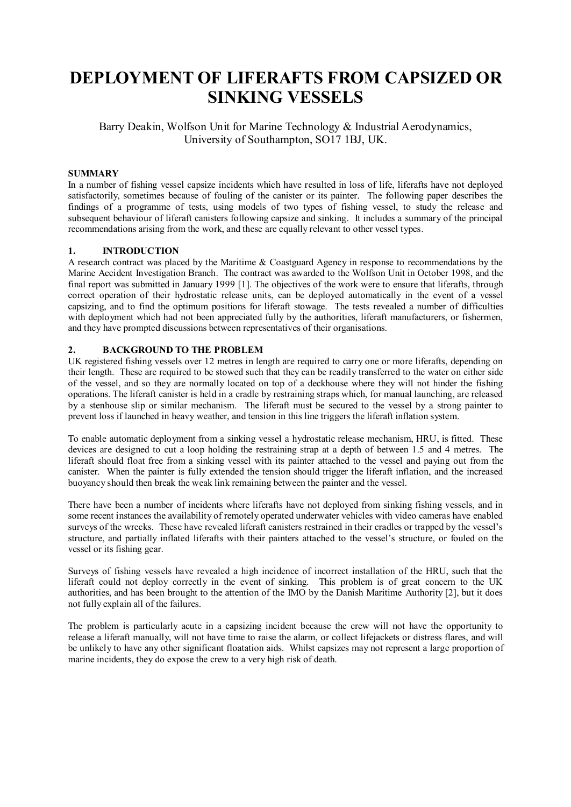# **DEPLOYMENT OF LIFERAFTS FROM CAPSIZED OR SINKING VESSELS**

Barry Deakin, Wolfson Unit for Marine Technology & Industrial Aerodynamics, University of Southampton, SO17 1BJ, UK.

## **SUMMARY**

In a number of fishing vessel capsize incidents which have resulted in loss of life, liferafts have not deployed satisfactorily, sometimes because of fouling of the canister or its painter. The following paper describes the findings of a programme of tests, using models of two types of fishing vessel, to study the release and subsequent behaviour of liferaft canisters following capsize and sinking. It includes a summary of the principal recommendations arising from the work, and these are equally relevant to other vessel types.

#### **1. INTRODUCTION**

A research contract was placed by the Maritime & Coastguard Agency in response to recommendations by the Marine Accident Investigation Branch. The contract was awarded to the Wolfson Unit in October 1998, and the final report was submitted in January 1999 [1]. The objectives of the work were to ensure that liferafts, through correct operation of their hydrostatic release units, can be deployed automatically in the event of a vessel capsizing, and to find the optimum positions for liferaft stowage. The tests revealed a number of difficulties with deployment which had not been appreciated fully by the authorities, liferaft manufacturers, or fishermen, and they have prompted discussions between representatives of their organisations.

#### **2. BACKGROUND TO THE PROBLEM**

UK registered fishing vessels over 12 metres in length are required to carry one or more liferafts, depending on their length. These are required to be stowed such that they can be readily transferred to the water on either side of the vessel, and so they are normally located on top of a deckhouse where they will not hinder the fishing operations. The liferaft canister is held in a cradle by restraining straps which, for manual launching, are released by a stenhouse slip or similar mechanism. The liferaft must be secured to the vessel by a strong painter to prevent loss if launched in heavy weather, and tension in this line triggers the liferaft inflation system.

To enable automatic deployment from a sinking vessel a hydrostatic release mechanism, HRU, is fitted. These devices are designed to cut a loop holding the restraining strap at a depth of between 1.5 and 4 metres. The liferaft should float free from a sinking vessel with its painter attached to the vessel and paying out from the canister. When the painter is fully extended the tension should trigger the liferaft inflation, and the increased buoyancy should then break the weak link remaining between the painter and the vessel.

There have been a number of incidents where liferafts have not deployed from sinking fishing vessels, and in some recent instances the availability of remotely operated underwater vehicles with video cameras have enabled surveys of the wrecks. These have revealed liferaft canisters restrained in their cradles or trapped by the vessel's structure, and partially inflated liferafts with their painters attached to the vessel's structure, or fouled on the vessel or its fishing gear.

Surveys of fishing vessels have revealed a high incidence of incorrect installation of the HRU, such that the liferaft could not deploy correctly in the event of sinking. This problem is of great concern to the UK authorities, and has been brought to the attention of the IMO by the Danish Maritime Authority [2], but it does not fully explain all of the failures.

The problem is particularly acute in a capsizing incident because the crew will not have the opportunity to release a liferaft manually, will not have time to raise the alarm, or collect lifejackets or distress flares, and will be unlikely to have any other significant floatation aids. Whilst capsizes may not represent a large proportion of marine incidents, they do expose the crew to a very high risk of death.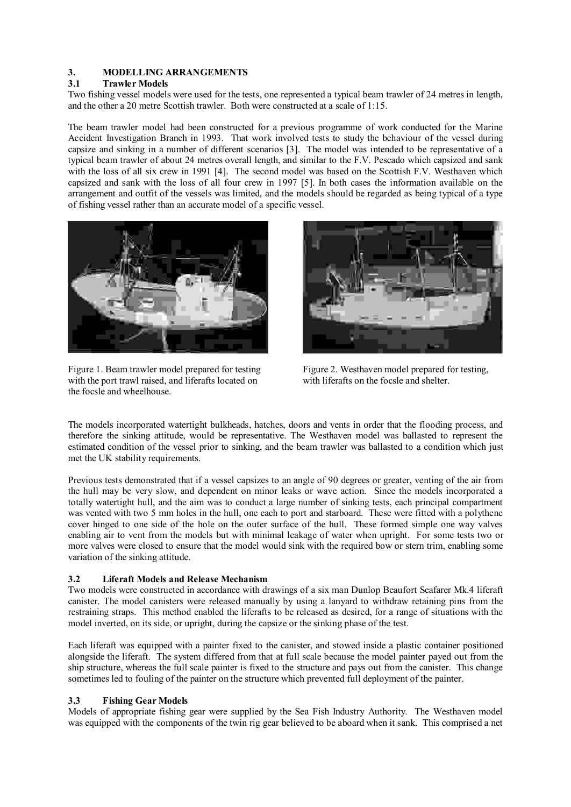## **3. MODELLING ARRANGEMENTS**

## **3.1 Trawler Models**

Two fishing vessel models were used for the tests, one represented a typical beam trawler of 24 metres in length, and the other a 20 metre Scottish trawler. Both were constructed at a scale of 1:15.

The beam trawler model had been constructed for a previous programme of work conducted for the Marine Accident Investigation Branch in 1993. That work involved tests to study the behaviour of the vessel during capsize and sinking in a number of different scenarios [3]. The model was intended to be representative of a typical beam trawler of about 24 metres overall length, and similar to the F.V. Pescado which capsized and sank with the loss of all six crew in 1991 [4]. The second model was based on the Scottish F.V. Westhaven which capsized and sank with the loss of all four crew in 1997 [5]. In both cases the information available on the arrangement and outfit of the vessels was limited, and the models should be regarded as being typical of a type of fishing vessel rather than an accurate model of a specific vessel.



Figure 1. Beam trawler model prepared for testing with the port trawl raised, and liferafts located on the focsle and wheelhouse.



Figure 2. Westhaven model prepared for testing, with liferafts on the focsle and shelter.

The models incorporated watertight bulkheads, hatches, doors and vents in order that the flooding process, and therefore the sinking attitude, would be representative. The Westhaven model was ballasted to represent the estimated condition of the vessel prior to sinking, and the beam trawler was ballasted to a condition which just met the UK stability requirements.

Previous tests demonstrated that if a vessel capsizes to an angle of 90 degrees or greater, venting of the air from the hull may be very slow, and dependent on minor leaks or wave action. Since the models incorporated a totally watertight hull, and the aim was to conduct a large number of sinking tests, each principal compartment was vented with two 5 mm holes in the hull, one each to port and starboard. These were fitted with a polythene cover hinged to one side of the hole on the outer surface of the hull. These formed simple one way valves enabling air to vent from the models but with minimal leakage of water when upright. For some tests two or more valves were closed to ensure that the model would sink with the required bow or stern trim, enabling some variation of the sinking attitude.

# **3.2 Liferaft Models and Release Mechanism**

Two models were constructed in accordance with drawings of a six man Dunlop Beaufort Seafarer Mk.4 liferaft canister. The model canisters were released manually by using a lanyard to withdraw retaining pins from the restraining straps. This method enabled the liferafts to be released as desired, for a range of situations with the model inverted, on its side, or upright, during the capsize or the sinking phase of the test.

Each liferaft was equipped with a painter fixed to the canister, and stowed inside a plastic container positioned alongside the liferaft. The system differed from that at full scale because the model painter payed out from the ship structure, whereas the full scale painter is fixed to the structure and pays out from the canister. This change sometimes led to fouling of the painter on the structure which prevented full deployment of the painter.

## **3.3 Fishing Gear Models**

Models of appropriate fishing gear were supplied by the Sea Fish Industry Authority. The Westhaven model was equipped with the components of the twin rig gear believed to be aboard when it sank. This comprised a net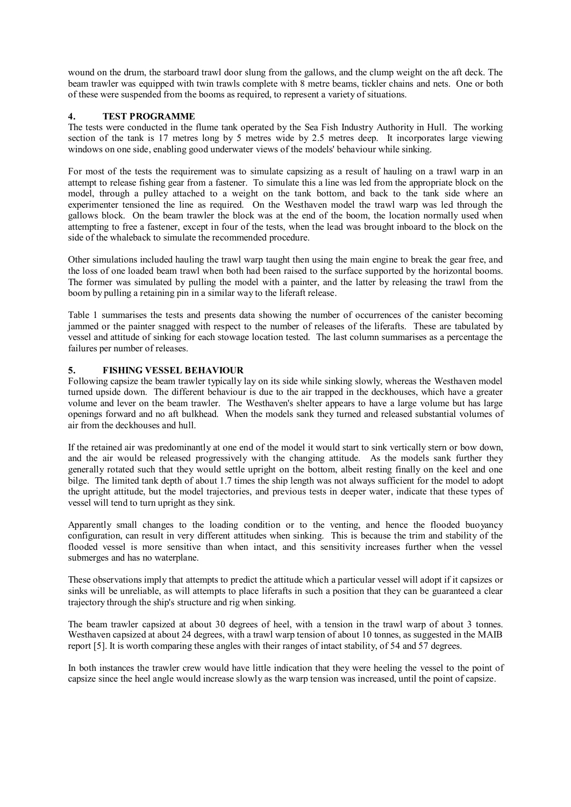wound on the drum, the starboard trawl door slung from the gallows, and the clump weight on the aft deck. The beam trawler was equipped with twin trawls complete with 8 metre beams, tickler chains and nets. One or both of these were suspended from the booms as required, to represent a variety of situations.

## **4. TEST PROGRAMME**

The tests were conducted in the flume tank operated by the Sea Fish Industry Authority in Hull. The working section of the tank is 17 metres long by 5 metres wide by 2.5 metres deep. It incorporates large viewing windows on one side, enabling good underwater views of the models' behaviour while sinking.

For most of the tests the requirement was to simulate capsizing as a result of hauling on a trawl warp in an attempt to release fishing gear from a fastener. To simulate this a line was led from the appropriate block on the model, through a pulley attached to a weight on the tank bottom, and back to the tank side where an experimenter tensioned the line as required. On the Westhaven model the trawl warp was led through the gallows block. On the beam trawler the block was at the end of the boom, the location normally used when attempting to free a fastener, except in four of the tests, when the lead was brought inboard to the block on the side of the whaleback to simulate the recommended procedure.

Other simulations included hauling the trawl warp taught then using the main engine to break the gear free, and the loss of one loaded beam trawl when both had been raised to the surface supported by the horizontal booms. The former was simulated by pulling the model with a painter, and the latter by releasing the trawl from the boom by pulling a retaining pin in a similar way to the liferaft release.

Table 1 summarises the tests and presents data showing the number of occurrences of the canister becoming jammed or the painter snagged with respect to the number of releases of the liferafts. These are tabulated by vessel and attitude of sinking for each stowage location tested. The last column summarises as a percentage the failures per number of releases.

## **5. FISHING VESSEL BEHAVIOUR**

Following capsize the beam trawler typically lay on its side while sinking slowly, whereas the Westhaven model turned upside down. The different behaviour is due to the air trapped in the deckhouses, which have a greater volume and lever on the beam trawler. The Westhaven's shelter appears to have a large volume but has large openings forward and no aft bulkhead. When the models sank they turned and released substantial volumes of air from the deckhouses and hull.

If the retained air was predominantly at one end of the model it would start to sink vertically stern or bow down, and the air would be released progressively with the changing attitude. As the models sank further they generally rotated such that they would settle upright on the bottom, albeit resting finally on the keel and one bilge. The limited tank depth of about 1.7 times the ship length was not always sufficient for the model to adopt the upright attitude, but the model trajectories, and previous tests in deeper water, indicate that these types of vessel will tend to turn upright as they sink.

Apparently small changes to the loading condition or to the venting, and hence the flooded buoyancy configuration, can result in very different attitudes when sinking. This is because the trim and stability of the flooded vessel is more sensitive than when intact, and this sensitivity increases further when the vessel submerges and has no waterplane.

These observations imply that attempts to predict the attitude which a particular vessel will adopt if it capsizes or sinks will be unreliable, as will attempts to place liferafts in such a position that they can be guaranteed a clear trajectory through the ship's structure and rig when sinking.

The beam trawler capsized at about 30 degrees of heel, with a tension in the trawl warp of about 3 tonnes. Westhaven capsized at about 24 degrees, with a trawl warp tension of about 10 tonnes, as suggested in the MAIB report [5]. It is worth comparing these angles with their ranges of intact stability, of 54 and 57 degrees.

In both instances the trawler crew would have little indication that they were heeling the vessel to the point of capsize since the heel angle would increase slowly as the warp tension was increased, until the point of capsize.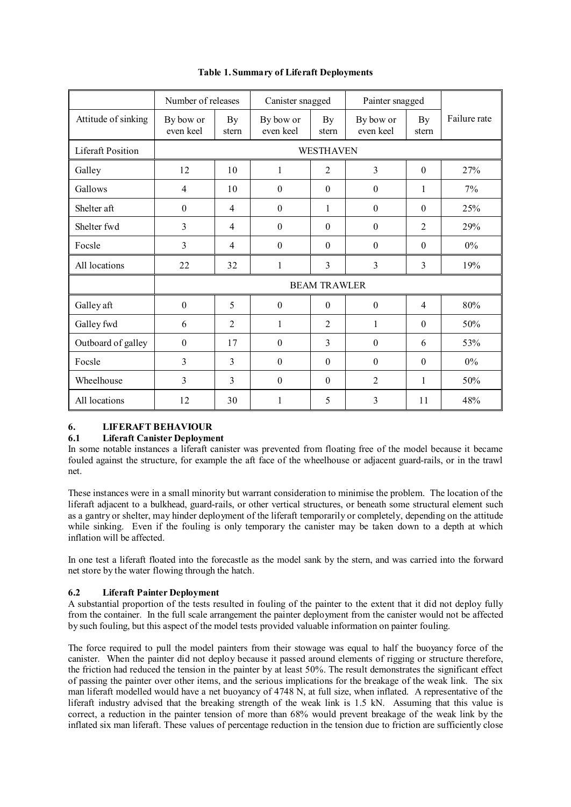|                          | Number of releases     |                | Canister snagged       |                  | Painter snagged        |                |              |
|--------------------------|------------------------|----------------|------------------------|------------------|------------------------|----------------|--------------|
| Attitude of sinking      | By bow or<br>even keel | By<br>stern    | By bow or<br>even keel | By<br>stern      | By bow or<br>even keel | By<br>stern    | Failure rate |
| <b>Liferaft Position</b> | WESTHAVEN              |                |                        |                  |                        |                |              |
| Galley                   | 12                     | 10             | $\mathbf{1}$           | $\overline{2}$   | 3                      | $\mathbf{0}$   | 27%          |
| Gallows                  | 4                      | 10             | $\boldsymbol{0}$       | $\boldsymbol{0}$ | $\mathbf{0}$           | 1              | 7%           |
| Shelter aft              | $\boldsymbol{0}$       | $\overline{4}$ | $\boldsymbol{0}$       | 1                | $\mathbf{0}$           | $\theta$       | 25%          |
| Shelter fwd              | 3                      | $\overline{4}$ | $\boldsymbol{0}$       | $\theta$         | $\theta$               | $\overline{2}$ | 29%          |
| Focsle                   | 3                      | 4              | $\mathbf{0}$           | $\theta$         | $\mathbf{0}$           | $\theta$       | $0\%$        |
| All locations            | 22                     | 32             | $\mathbf{1}$           | 3                | 3                      | 3              | 19%          |
|                          | <b>BEAM TRAWLER</b>    |                |                        |                  |                        |                |              |
| Galley aft               | $\mathbf{0}$           | 5              | $\overline{0}$         | $\theta$         | $\mathbf{0}$           | $\overline{4}$ | 80%          |
| Galley fwd               | 6                      | $\overline{2}$ | $\mathbf{1}$           | $\overline{2}$   | 1                      | $\Omega$       | 50%          |
| Outboard of galley       | $\boldsymbol{0}$       | 17             | $\boldsymbol{0}$       | 3                | $\boldsymbol{0}$       | 6              | 53%          |
| Focsle                   | 3                      | 3              | $\boldsymbol{0}$       | $\boldsymbol{0}$ | $\boldsymbol{0}$       | $\theta$       | $0\%$        |
| Wheelhouse               | 3                      | 3              | $\boldsymbol{0}$       | $\theta$         | $\overline{2}$         | 1              | 50%          |
| All locations            | 12                     | 30             | $\mathbf{1}$           | 5                | 3                      | 11             | 48%          |

# **Table 1.Summary of Liferaft Deployments**

# **6. LIFERAFT BEHAVIOUR**

# **6.1 Liferaft Canister Deployment**

In some notable instances a liferaft canister was prevented from floating free of the model because it became fouled against the structure, for example the aft face of the wheelhouse or adjacent guard-rails, or in the trawl net.

These instances were in a small minority but warrant consideration to minimise the problem. The location of the liferaft adjacent to a bulkhead, guard-rails, or other vertical structures, or beneath some structural element such as a gantry or shelter, may hinder deployment of the liferaft temporarily or completely, depending on the attitude while sinking. Even if the fouling is only temporary the canister may be taken down to a depth at which inflation will be affected.

In one test a liferaft floated into the forecastle as the model sank by the stern, and was carried into the forward net store by the water flowing through the hatch.

# **6.2 Liferaft Painter Deployment**

A substantial proportion of the tests resulted in fouling of the painter to the extent that it did not deploy fully from the container. In the full scale arrangement the painter deployment from the canister would not be affected by such fouling, but this aspect of the model tests provided valuable information on painter fouling.

The force required to pull the model painters from their stowage was equal to half the buoyancy force of the canister. When the painter did not deploy because it passed around elements of rigging or structure therefore, the friction had reduced the tension in the painter by at least 50%. The result demonstrates the significant effect of passing the painter over other items, and the serious implications for the breakage of the weak link. The six man liferaft modelled would have a net buoyancy of 4748 N, at full size, when inflated. A representative of the liferaft industry advised that the breaking strength of the weak link is 1.5 kN. Assuming that this value is correct, a reduction in the painter tension of more than 68% would prevent breakage of the weak link by the inflated six man liferaft. These values of percentage reduction in the tension due to friction are sufficiently close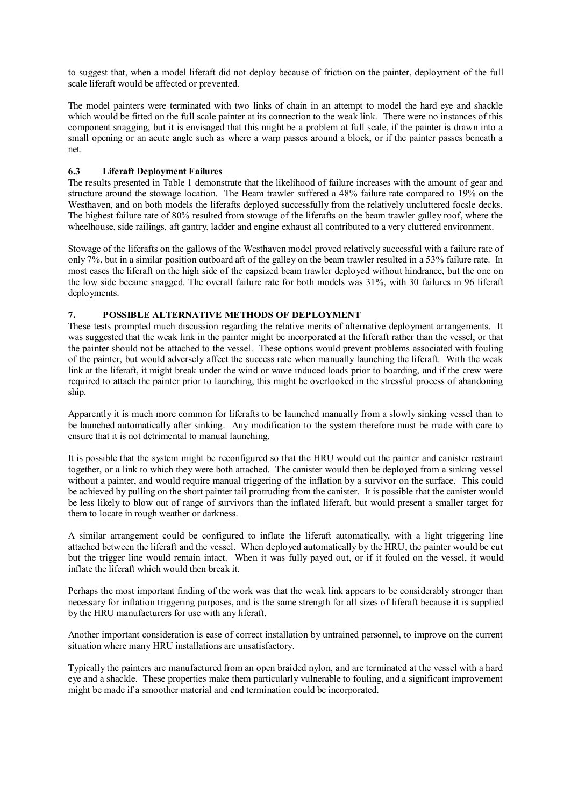to suggest that, when a model liferaft did not deploy because of friction on the painter, deployment of the full scale liferaft would be affected or prevented.

The model painters were terminated with two links of chain in an attempt to model the hard eye and shackle which would be fitted on the full scale painter at its connection to the weak link. There were no instances of this component snagging, but it is envisaged that this might be a problem at full scale, if the painter is drawn into a small opening or an acute angle such as where a warp passes around a block, or if the painter passes beneath a net.

## **6.3 Liferaft Deployment Failures**

The results presented in Table 1 demonstrate that the likelihood of failure increases with the amount of gear and structure around the stowage location. The Beam trawler suffered a 48% failure rate compared to 19% on the Westhaven, and on both models the liferafts deployed successfully from the relatively uncluttered focsle decks. The highest failure rate of 80% resulted from stowage of the liferafts on the beam trawler galley roof, where the wheelhouse, side railings, aft gantry, ladder and engine exhaust all contributed to a very cluttered environment.

Stowage of the liferafts on the gallows of the Westhaven model proved relatively successful with a failure rate of only 7%, but in a similar position outboard aft of the galley on the beam trawler resulted in a 53% failure rate. In most cases the liferaft on the high side of the capsized beam trawler deployed without hindrance, but the one on the low side became snagged. The overall failure rate for both models was 31%, with 30 failures in 96 liferaft deployments.

## **7. POSSIBLE ALTERNATIVE METHODS OF DEPLOYMENT**

These tests prompted much discussion regarding the relative merits of alternative deployment arrangements. It was suggested that the weak link in the painter might be incorporated at the liferaft rather than the vessel, or that the painter should not be attached to the vessel. These options would prevent problems associated with fouling of the painter, but would adversely affect the success rate when manually launching the liferaft. With the weak link at the liferaft, it might break under the wind or wave induced loads prior to boarding, and if the crew were required to attach the painter prior to launching, this might be overlooked in the stressful process of abandoning ship.

Apparently it is much more common for liferafts to be launched manually from a slowly sinking vessel than to be launched automatically after sinking. Any modification to the system therefore must be made with care to ensure that it is not detrimental to manual launching.

It is possible that the system might be reconfigured so that the HRU would cut the painter and canister restraint together, or a link to which they were both attached. The canister would then be deployed from a sinking vessel without a painter, and would require manual triggering of the inflation by a survivor on the surface. This could be achieved by pulling on the short painter tail protruding from the canister. It is possible that the canister would be less likely to blow out of range of survivors than the inflated liferaft, but would present a smaller target for them to locate in rough weather or darkness.

A similar arrangement could be configured to inflate the liferaft automatically, with a light triggering line attached between the liferaft and the vessel. When deployed automatically by the HRU, the painter would be cut but the trigger line would remain intact. When it was fully payed out, or if it fouled on the vessel, it would inflate the liferaft which would then break it.

Perhaps the most important finding of the work was that the weak link appears to be considerably stronger than necessary for inflation triggering purposes, and is the same strength for all sizes of liferaft because it is supplied by the HRU manufacturers for use with any liferaft.

Another important consideration is ease of correct installation by untrained personnel, to improve on the current situation where many HRU installations are unsatisfactory.

Typically the painters are manufactured from an open braided nylon, and are terminated at the vessel with a hard eye and a shackle. These properties make them particularly vulnerable to fouling, and a significant improvement might be made if a smoother material and end termination could be incorporated.